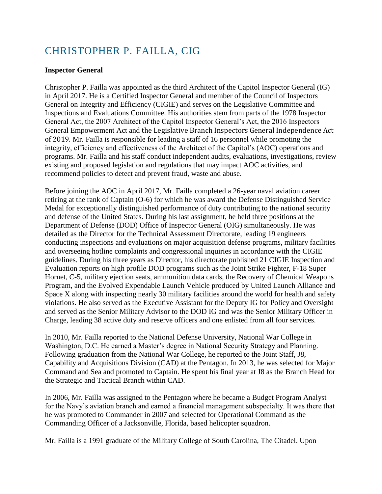## CHRISTOPHER P. FAILLA, CIG

## **Inspector General**

Christopher P. Failla was appointed as the third Architect of the Capitol Inspector General (IG) in April 2017. He is a Certified Inspector General and member of the Council of Inspectors General on Integrity and Efficiency (CIGIE) and serves on the Legislative Committee and Inspections and Evaluations Committee. His authorities stem from parts of the 1978 Inspector General Act, the 2007 Architect of the Capitol Inspector General's Act, the 2016 Inspectors General Empowerment Act and the Legislative Branch Inspectors General Independence Act of 2019*.* Mr. Failla is responsible for leading a staff of 16 personnel while promoting the integrity, efficiency and effectiveness of the Architect of the Capitol's (AOC) operations and programs. Mr. Failla and his staff conduct independent audits, evaluations, investigations, review existing and proposed legislation and regulations that may impact AOC activities, and recommend policies to detect and prevent fraud, waste and abuse.

Before joining the AOC in April 2017, Mr. Failla completed a 26-year naval aviation career retiring at the rank of Captain (O-6) for which he was award the Defense Distinguished Service Medal for exceptionally distinguished performance of duty contributing to the national security and defense of the United States. During his last assignment, he held three positions at the Department of Defense (DOD) Office of Inspector General (OIG) simultaneously. He was detailed as the Director for the Technical Assessment Directorate, leading 19 engineers conducting inspections and evaluations on major acquisition defense programs, military facilities and overseeing hotline complaints and congressional inquiries in accordance with the CIGIE guidelines. During his three years as Director, his directorate published 21 CIGIE Inspection and Evaluation reports on high profile DOD programs such as the Joint Strike Fighter, F-18 Super Hornet, C-5, military ejection seats, ammunition data cards, the Recovery of Chemical Weapons Program, and the Evolved Expendable Launch Vehicle produced by United Launch Alliance and Space X along with inspecting nearly 30 military facilities around the world for health and safety violations. He also served as the Executive Assistant for the Deputy IG for Policy and Oversight and served as the Senior Military Advisor to the DOD IG and was the Senior Military Officer in Charge, leading 38 active duty and reserve officers and one enlisted from all four services.

In 2010, Mr. Failla reported to the National Defense University, National War College in Washington, D.C. He earned a Master's degree in National Security Strategy and Planning. Following graduation from the National War College, he reported to the Joint Staff, J8, Capability and Acquisitions Division (CAD) at the Pentagon. In 2013, he was selected for Major Command and Sea and promoted to Captain. He spent his final year at J8 as the Branch Head for the Strategic and Tactical Branch within CAD.

In 2006, Mr. Failla was assigned to the Pentagon where he became a Budget Program Analyst for the Navy's aviation branch and earned a financial management subspecialty. It was there that he was promoted to Commander in 2007 and selected for Operational Command as the Commanding Officer of a Jacksonville, Florida, based helicopter squadron.

Mr. Failla is a 1991 graduate of the Military College of South Carolina, The Citadel. Upon